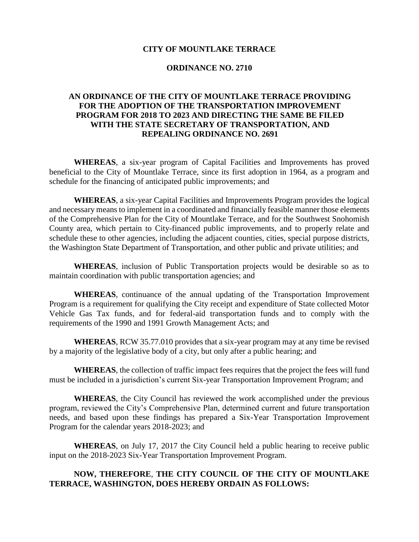#### **CITY OF MOUNTLAKE TERRACE**

#### **ORDINANCE NO. 2710**

## **AN ORDINANCE OF THE CITY OF MOUNTLAKE TERRACE PROVIDING FOR THE ADOPTION OF THE TRANSPORTATION IMPROVEMENT PROGRAM FOR 2018 TO 2023 AND DIRECTING THE SAME BE FILED WITH THE STATE SECRETARY OF TRANSPORTATION, AND REPEALING ORDINANCE NO. 2691**

**WHEREAS**, a six-year program of Capital Facilities and Improvements has proved beneficial to the City of Mountlake Terrace, since its first adoption in 1964, as a program and schedule for the financing of anticipated public improvements; and

**WHEREAS**, a six-year Capital Facilities and Improvements Program provides the logical and necessary means to implement in a coordinated and financially feasible manner those elements of the Comprehensive Plan for the City of Mountlake Terrace, and for the Southwest Snohomish County area, which pertain to City-financed public improvements, and to properly relate and schedule these to other agencies, including the adjacent counties, cities, special purpose districts, the Washington State Department of Transportation, and other public and private utilities; and

**WHEREAS**, inclusion of Public Transportation projects would be desirable so as to maintain coordination with public transportation agencies; and

**WHEREAS**, continuance of the annual updating of the Transportation Improvement Program is a requirement for qualifying the City receipt and expenditure of State collected Motor Vehicle Gas Tax funds, and for federal-aid transportation funds and to comply with the requirements of the 1990 and 1991 Growth Management Acts; and

**WHEREAS**, RCW 35.77.010 provides that a six-year program may at any time be revised by a majority of the legislative body of a city, but only after a public hearing; and

**WHEREAS**, the collection of traffic impact fees requires that the project the fees will fund must be included in a jurisdiction's current Six-year Transportation Improvement Program; and

**WHEREAS**, the City Council has reviewed the work accomplished under the previous program, reviewed the City's Comprehensive Plan, determined current and future transportation needs, and based upon these findings has prepared a Six-Year Transportation Improvement Program for the calendar years 2018-2023; and

**WHEREAS**, on July 17, 2017 the City Council held a public hearing to receive public input on the 2018-2023 Six-Year Transportation Improvement Program.

# **NOW, THEREFORE**, **THE CITY COUNCIL OF THE CITY OF MOUNTLAKE TERRACE, WASHINGTON, DOES HEREBY ORDAIN AS FOLLOWS:**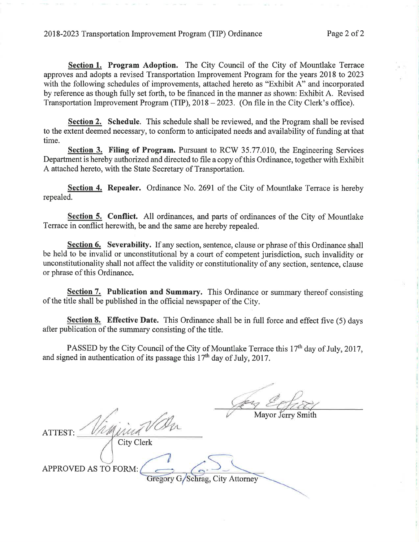Section 1. Program Adoption. The City Council of the City of Mountlake Terrace approves and adopts a revised Transportation Improvement Program for the years 2018 to 2023 with the following schedules of improvements, attached hereto as "Exhibit A" and incorporated by reference as though fully set forth, to be financed in the manner as shown: Exhibit A. Revised Transportation Improvement Program (TIP), 2018 – 2023. (On file in the City Clerk's office).

**Section 2.** Schedule. This schedule shall be reviewed, and the Program shall be revised to the extent deemed necessary, to conform to anticipated needs and availability of funding at that time.

**Section 3. Filing of Program.** Pursuant to RCW 35.77.010, the Engineering Services Department is hereby authorized and directed to file a copy of this Ordinance, together with Exhibit A attached hereto, with the State Secretary of Transportation.

Section 4. Repealer. Ordinance No. 2691 of the City of Mountlake Terrace is hereby repealed.

Section 5. Conflict. All ordinances, and parts of ordinances of the City of Mountlake Terrace in conflict herewith, be and the same are hereby repealed.

Section 6. Severability. If any section, sentence, clause or phrase of this Ordinance shall be held to be invalid or unconstitutional by a court of competent jurisdiction, such invalidity or unconstitutionality shall not affect the validity or constitutionality of any section, sentence, clause or phrase of this Ordinance.

**Section 7. Publication and Summary.** This Ordinance or summary thereof consisting of the title shall be published in the official newspaper of the City.

Section 8. Effective Date. This Ordinance shall be in full force and effect five (5) days after publication of the summary consisting of the title.

PASSED by the City Council of the City of Mountlake Terrace this 17<sup>th</sup> day of July, 2017, and signed in authentication of its passage this  $17<sup>th</sup>$  day of July, 2017.

ATTEST: **City Clerk** APPROVED AS TO FORM: Gregory G/Schrag, City Attorney